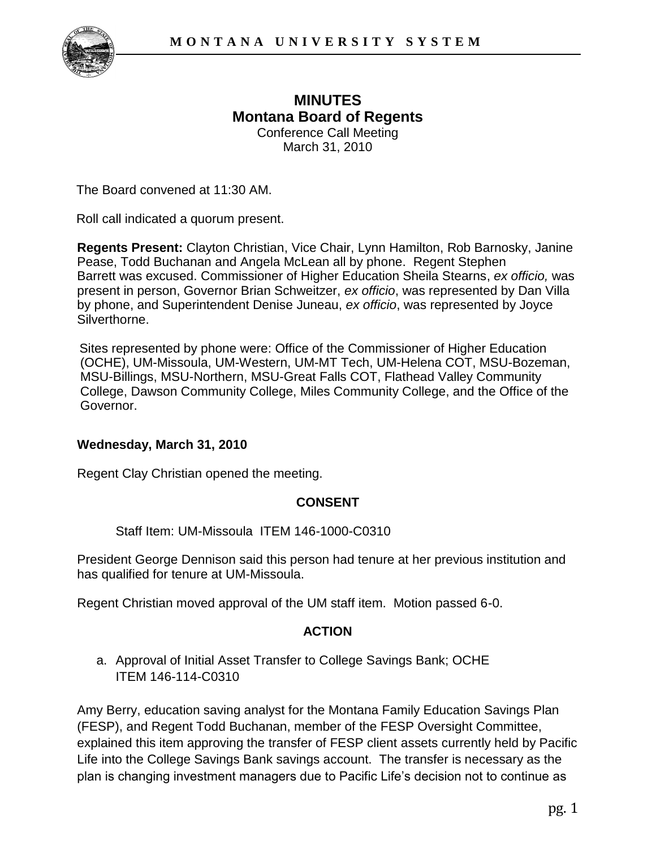

## **MINUTES Montana Board of Regents**  Conference Call Meeting March 31, 2010

The Board convened at 11:30 AM.

Roll call indicated a quorum present.

**Regents Present:** Clayton Christian, Vice Chair, Lynn Hamilton, Rob Barnosky, Janine Pease, Todd Buchanan and Angela McLean all by phone. Regent Stephen Barrett was excused. Commissioner of Higher Education Sheila Stearns, *ex officio,* was present in person, Governor Brian Schweitzer, *ex officio*, was represented by Dan Villa by phone, and Superintendent Denise Juneau, *ex officio*, was represented by Joyce Silverthorne.

Sites represented by phone were: Office of the Commissioner of Higher Education (OCHE), UM-Missoula, UM-Western, UM-MT Tech, UM-Helena COT, MSU-Bozeman, MSU-Billings, MSU-Northern, MSU-Great Falls COT, Flathead Valley Community College, Dawson Community College, Miles Community College, and the Office of the Governor.

## **Wednesday, March 31, 2010**

Regent Clay Christian opened the meeting.

## **CONSENT**

Staff Item: UM-Missoula ITEM 146-1000-C0310

President George Dennison said this person had tenure at her previous institution and has qualified for tenure at UM-Missoula.

Regent Christian moved approval of the UM staff item. Motion passed 6-0.

## **ACTION**

a. Approval of Initial Asset Transfer to College Savings Bank; OCHE ITEM 146-114-C0310

Amy Berry, education saving analyst for the Montana Family Education Savings Plan (FESP), and Regent Todd Buchanan, member of the FESP Oversight Committee, explained this item approving the transfer of FESP client assets currently held by Pacific Life into the College Savings Bank savings account. The transfer is necessary as the plan is changing investment managers due to Pacific Life's decision not to continue as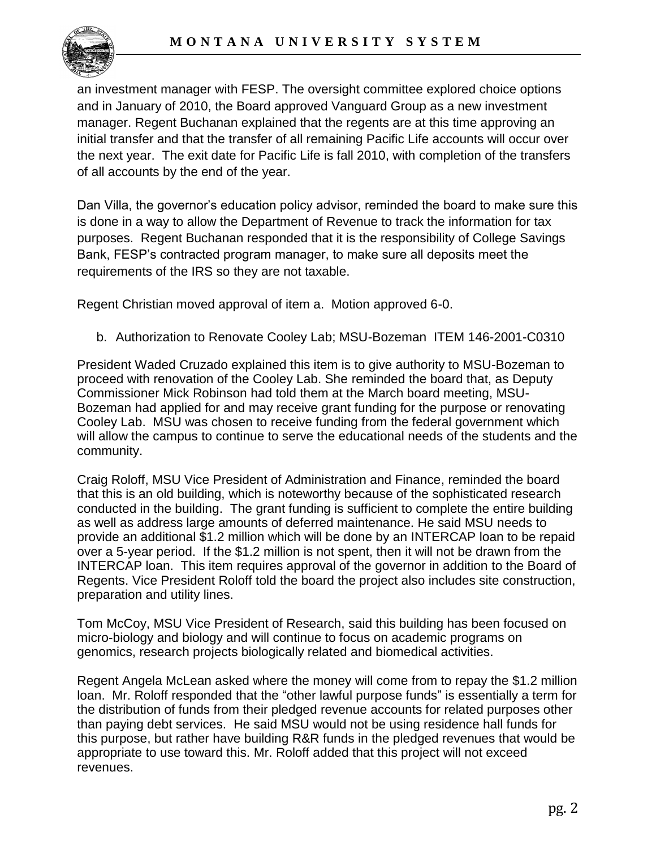

an investment manager with FESP. The oversight committee explored choice options and in January of 2010, the Board approved Vanguard Group as a new investment manager. Regent Buchanan explained that the regents are at this time approving an initial transfer and that the transfer of all remaining Pacific Life accounts will occur over the next year. The exit date for Pacific Life is fall 2010, with completion of the transfers of all accounts by the end of the year.

Dan Villa, the governor's education policy advisor, reminded the board to make sure this is done in a way to allow the Department of Revenue to track the information for tax purposes. Regent Buchanan responded that it is the responsibility of College Savings Bank, FESP's contracted program manager, to make sure all deposits meet the requirements of the IRS so they are not taxable.

Regent Christian moved approval of item a. Motion approved 6-0.

b. Authorization to Renovate Cooley Lab; MSU-Bozeman ITEM 146-2001-C0310

President Waded Cruzado explained this item is to give authority to MSU-Bozeman to proceed with renovation of the Cooley Lab. She reminded the board that, as Deputy Commissioner Mick Robinson had told them at the March board meeting, MSU-Bozeman had applied for and may receive grant funding for the purpose or renovating Cooley Lab. MSU was chosen to receive funding from the federal government which will allow the campus to continue to serve the educational needs of the students and the community.

Craig Roloff, MSU Vice President of Administration and Finance, reminded the board that this is an old building, which is noteworthy because of the sophisticated research conducted in the building. The grant funding is sufficient to complete the entire building as well as address large amounts of deferred maintenance. He said MSU needs to provide an additional \$1.2 million which will be done by an INTERCAP loan to be repaid over a 5-year period. If the \$1.2 million is not spent, then it will not be drawn from the INTERCAP loan. This item requires approval of the governor in addition to the Board of Regents. Vice President Roloff told the board the project also includes site construction, preparation and utility lines.

Tom McCoy, MSU Vice President of Research, said this building has been focused on micro-biology and biology and will continue to focus on academic programs on genomics, research projects biologically related and biomedical activities.

Regent Angela McLean asked where the money will come from to repay the \$1.2 million loan. Mr. Roloff responded that the "other lawful purpose funds" is essentially a term for the distribution of funds from their pledged revenue accounts for related purposes other than paying debt services. He said MSU would not be using residence hall funds for this purpose, but rather have building R&R funds in the pledged revenues that would be appropriate to use toward this. Mr. Roloff added that this project will not exceed revenues.